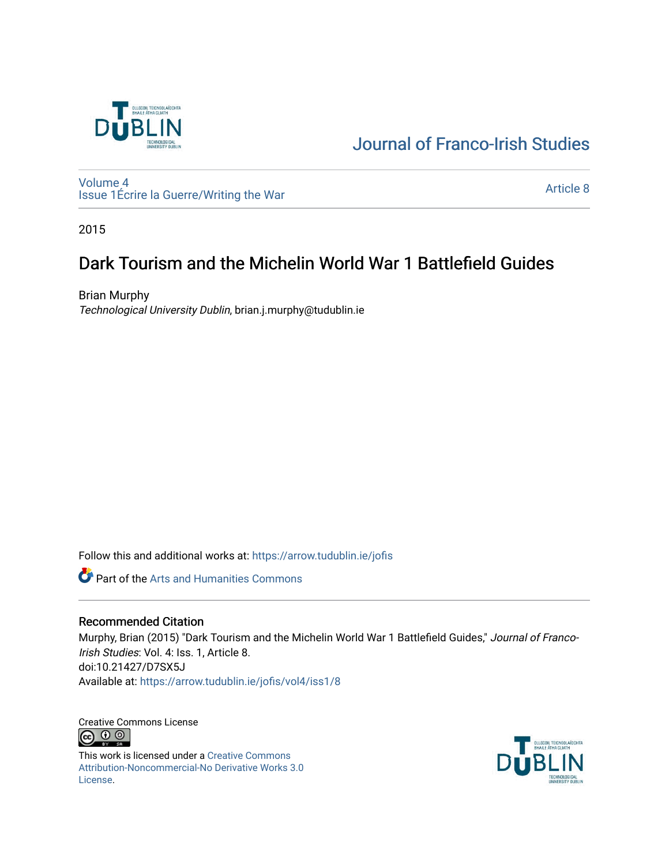

# [Journal of Franco-Irish Studies](https://arrow.tudublin.ie/jofis)

[Volume 4](https://arrow.tudublin.ie/jofis/vol4) [Issue 1](https://arrow.tudublin.ie/jofis/vol4/iss1)Écrire la Guerre/Writing the War Article 8<br>Issue 1Écrire la Guerre/Writing the War

2015

## Dark Tourism and the Michelin World War 1 Battlefield Guides

Brian Murphy Technological University Dublin, brian.j.murphy@tudublin.ie

Follow this and additional works at: [https://arrow.tudublin.ie/jofis](https://arrow.tudublin.ie/jofis?utm_source=arrow.tudublin.ie%2Fjofis%2Fvol4%2Fiss1%2F8&utm_medium=PDF&utm_campaign=PDFCoverPages) 

Part of the [Arts and Humanities Commons](http://network.bepress.com/hgg/discipline/438?utm_source=arrow.tudublin.ie%2Fjofis%2Fvol4%2Fiss1%2F8&utm_medium=PDF&utm_campaign=PDFCoverPages) 

#### Recommended Citation

Murphy, Brian (2015) "Dark Tourism and the Michelin World War 1 Battlefield Guides," Journal of Franco-Irish Studies: Vol. 4: Iss. 1, Article 8. doi:10.21427/D7SX5J Available at: [https://arrow.tudublin.ie/jofis/vol4/iss1/8](https://arrow.tudublin.ie/jofis/vol4/iss1/8?utm_source=arrow.tudublin.ie%2Fjofis%2Fvol4%2Fiss1%2F8&utm_medium=PDF&utm_campaign=PDFCoverPages) 

Creative Commons License <u>ම 0 ල</u>

This work is licensed under a [Creative Commons](https://creativecommons.org/licenses/by-nc-nd/3.0/) [Attribution-Noncommercial-No Derivative Works 3.0](https://creativecommons.org/licenses/by-nc-nd/3.0/) [License.](https://creativecommons.org/licenses/by-nc-nd/3.0/)

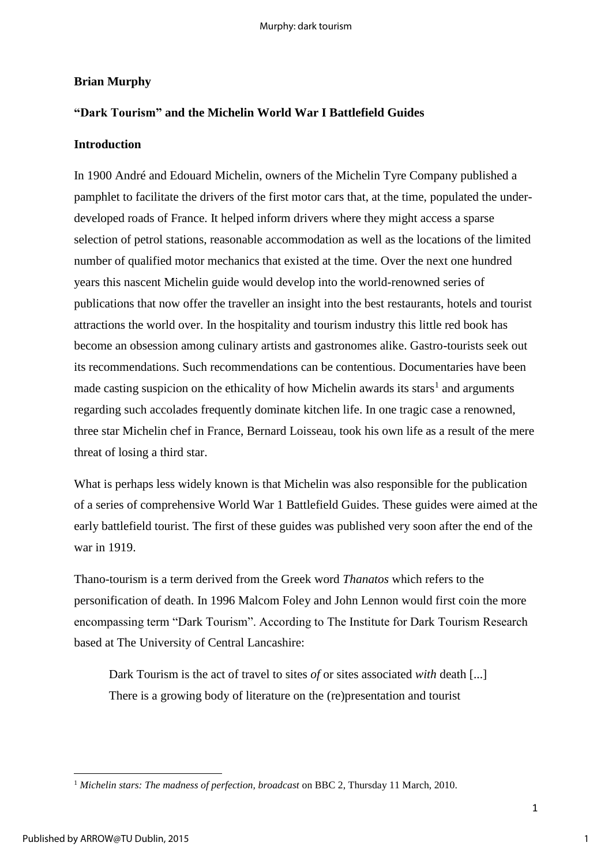### **Brian Murphy**

### **"Dark Tourism" and the Michelin World War I Battlefield Guides**

#### **Introduction**

In 1900 André and Edouard Michelin, owners of the Michelin Tyre Company published a pamphlet to facilitate the drivers of the first motor cars that, at the time, populated the underdeveloped roads of France. It helped inform drivers where they might access a sparse selection of petrol stations, reasonable accommodation as well as the locations of the limited number of qualified motor mechanics that existed at the time. Over the next one hundred years this nascent Michelin guide would develop into the world-renowned series of publications that now offer the traveller an insight into the best restaurants, hotels and tourist attractions the world over. In the hospitality and tourism industry this little red book has become an obsession among culinary artists and gastronomes alike. Gastro-tourists seek out its recommendations. Such recommendations can be contentious. Documentaries have been made casting suspicion on the ethicality of how Michelin awards its stars<sup>1</sup> and arguments regarding such accolades frequently dominate kitchen life. In one tragic case a renowned, three star Michelin chef in France, Bernard Loisseau, took his own life as a result of the mere threat of losing a third star.

What is perhaps less widely known is that Michelin was also responsible for the publication of a series of comprehensive World War 1 Battlefield Guides. These guides were aimed at the early battlefield tourist. The first of these guides was published very soon after the end of the war in 1919.

Thano-tourism is a term derived from the Greek word *Thanatos* which refers to the personification of death. In 1996 Malcom Foley and John Lennon would first coin the more encompassing term "Dark Tourism". According to The Institute for Dark Tourism Research based at The University of Central Lancashire:

Dark Tourism is the act of travel to sites *of* or sites associated *with* death [...] There is a growing body of literature on the (re)presentation and tourist

1

**<sup>.</sup>** <sup>1</sup> *Michelin stars: The madness of perfection, broadcast* on BBC 2, Thursday 11 March, 2010.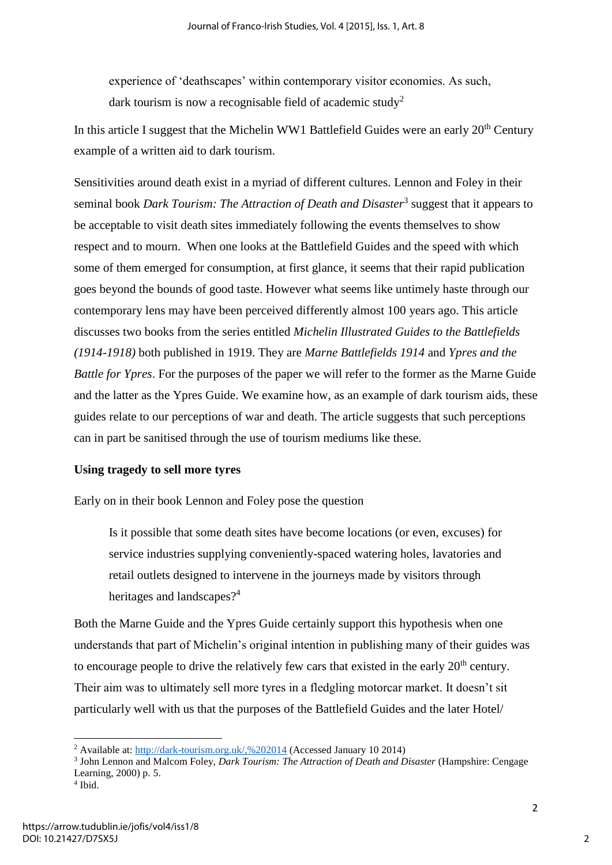experience of 'deathscapes' within contemporary visitor economies. As such, dark tourism is now a recognisable field of academic study<sup>2</sup>

In this article I suggest that the Michelin WW1 Battlefield Guides were an early 20<sup>th</sup> Century example of a written aid to dark tourism.

Sensitivities around death exist in a myriad of different cultures. Lennon and Foley in their seminal book *Dark Tourism: The Attraction of Death and Disaster*<sup>3</sup> suggest that it appears to be acceptable to visit death sites immediately following the events themselves to show respect and to mourn. When one looks at the Battlefield Guides and the speed with which some of them emerged for consumption, at first glance, it seems that their rapid publication goes beyond the bounds of good taste. However what seems like untimely haste through our contemporary lens may have been perceived differently almost 100 years ago. This article discusses two books from the series entitled *Michelin Illustrated Guides to the Battlefields (1914-1918)* both published in 1919. They are *Marne Battlefields 1914* and *Ypres and the Battle for Ypres*. For the purposes of the paper we will refer to the former as the Marne Guide and the latter as the Ypres Guide. We examine how, as an example of dark tourism aids, these guides relate to our perceptions of war and death. The article suggests that such perceptions can in part be sanitised through the use of tourism mediums like these.

#### **Using tragedy to sell more tyres**

Early on in their book Lennon and Foley pose the question

Is it possible that some death sites have become locations (or even, excuses) for service industries supplying conveniently-spaced watering holes, lavatories and retail outlets designed to intervene in the journeys made by visitors through heritages and landscapes?<sup>4</sup>

Both the Marne Guide and the Ypres Guide certainly support this hypothesis when one understands that part of Michelin's original intention in publishing many of their guides was to encourage people to drive the relatively few cars that existed in the early  $20<sup>th</sup>$  century. Their aim was to ultimately sell more tyres in a fledgling motorcar market. It doesn't sit particularly well with us that the purposes of the Battlefield Guides and the later Hotel/

**.** 

<sup>&</sup>lt;sup>2</sup> Available at:  $\frac{http://dark-tourism.org.uk/, %202014}$  (Accessed January 10 2014)

<sup>3</sup> John Lennon and Malcom Foley, *Dark Tourism: The Attraction of Death and Disaster* (Hampshire: Cengage Learning, 2000) p. 5.

<sup>4</sup> Ibid.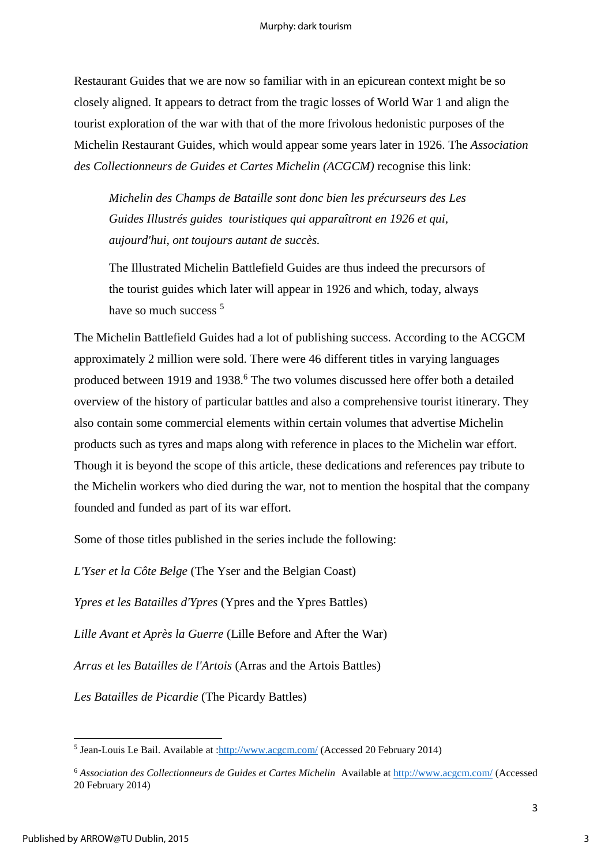Restaurant Guides that we are now so familiar with in an epicurean context might be so closely aligned. It appears to detract from the tragic losses of World War 1 and align the tourist exploration of the war with that of the more frivolous hedonistic purposes of the Michelin Restaurant Guides, which would appear some years later in 1926. The *Association des Collectionneurs de Guides et Cartes Michelin (ACGCM)* recognise this link:

*Michelin des Champs de Bataille sont donc bien les précurseurs des Les Guides Illustrés guides touristiques qui apparaîtront en 1926 et qui, aujourd'hui, ont toujours autant de succès.* 

The Illustrated Michelin Battlefield Guides are thus indeed the precursors of the tourist guides which later will appear in 1926 and which, today, always have so much success <sup>5</sup>

The Michelin Battlefield Guides had a lot of publishing success. According to the ACGCM approximately 2 million were sold. There were 46 different titles in varying languages produced between 1919 and 1938.<sup>6</sup> The two volumes discussed here offer both a detailed overview of the history of particular battles and also a comprehensive tourist itinerary. They also contain some commercial elements within certain volumes that advertise Michelin products such as tyres and maps along with reference in places to the Michelin war effort. Though it is beyond the scope of this article, these dedications and references pay tribute to the Michelin workers who died during the war, not to mention the hospital that the company founded and funded as part of its war effort.

Some of those titles published in the series include the following:

*L'Yser et la Côte Belge* (The Yser and the Belgian Coast)

*Ypres et les Batailles d'Ypres* (Ypres and the Ypres Battles)

*Lille Avant et Après la Guerre* (Lille Before and After the War)

*Arras et les Batailles de l'Artois* (Arras and the Artois Battles)

*Les Batailles de Picardie* (The Picardy Battles)

**.** 

<sup>&</sup>lt;sup>5</sup> Jean-Louis Le Bail. Available at : $\frac{http://www.acgem.com/}{http://www.acgem.com/}$  (Accessed 20 February 2014)

<sup>6</sup> *Association des Collectionneurs de Guides et Cartes Michelin* Available at<http://www.acgcm.com/>(Accessed 20 February 2014)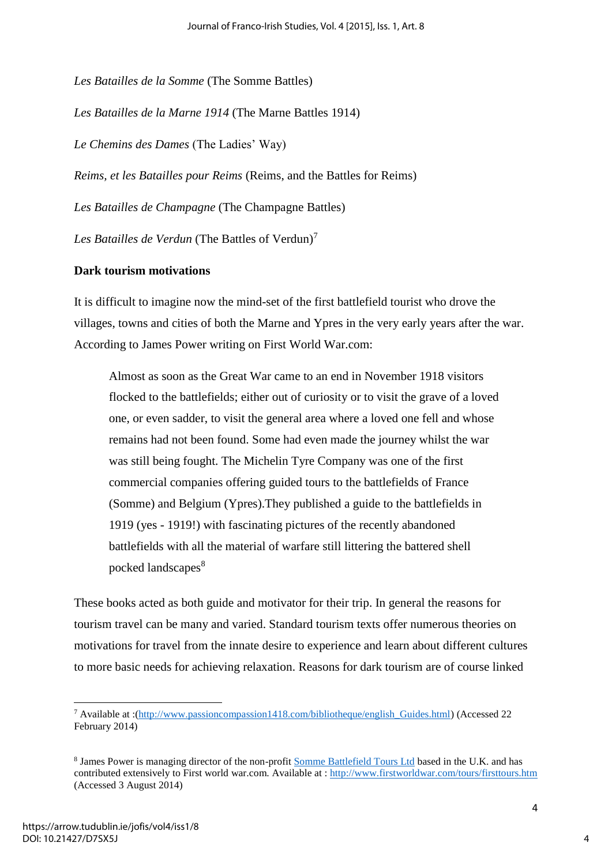*Les Batailles de la Somme* (The Somme Battles) *Les Batailles de la Marne 1914* (The Marne Battles 1914) *Le Chemins des Dames* (The Ladies' Way) *Reims, et les Batailles pour Reims* (Reims, and the Battles for Reims) *Les Batailles de Champagne* (The Champagne Battles) Les Batailles de Verdun (The Battles of Verdun)<sup>7</sup>

#### **Dark tourism motivations**

It is difficult to imagine now the mind-set of the first battlefield tourist who drove the villages, towns and cities of both the Marne and Ypres in the very early years after the war. According to James Power writing on First World War.com:

Almost as soon as the Great War [came to an end](http://www.firstworldwar.com/features/armistice.htm) in November 1918 visitors flocked to the battlefields; either out of curiosity or to visit the grave of a loved one, or even sadder, to visit the general area where a loved one fell and whose remains had not been found. Some had even made the journey whilst the war was still being fought. The Michelin Tyre Company was one of the first commercial companies offering guided tours to the battlefields of France (Somme) and Belgium (Ypres).They published a guide to the battlefields in 1919 (yes - 1919!) with fascinating pictures of the recently abandoned battlefields with all the material of warfare still littering the battered shell pocked landscapes<sup>8</sup>

These books acted as both guide and motivator for their trip. In general the reasons for tourism travel can be many and varied. Standard tourism texts offer numerous theories on motivations for travel from the innate desire to experience and learn about different cultures to more basic needs for achieving relaxation. Reasons for dark tourism are of course linked

**.** 

<sup>7</sup> Available at :[\(http://www.passioncompassion1418.com/bibliotheque/english\\_Guides.html\)](http://www.passioncompassion1418.com/bibliotheque/english_Guides.html) (Accessed 22 February 2014)

<sup>&</sup>lt;sup>8</sup> James Power is managing director of the non-profit [Somme Battlefield Tours Ltd](http://www.battlefield-tours.com/) based in the U.K. and has contributed extensively to First world war.com. Available at :<http://www.firstworldwar.com/tours/firsttours.htm> (Accessed 3 August 2014)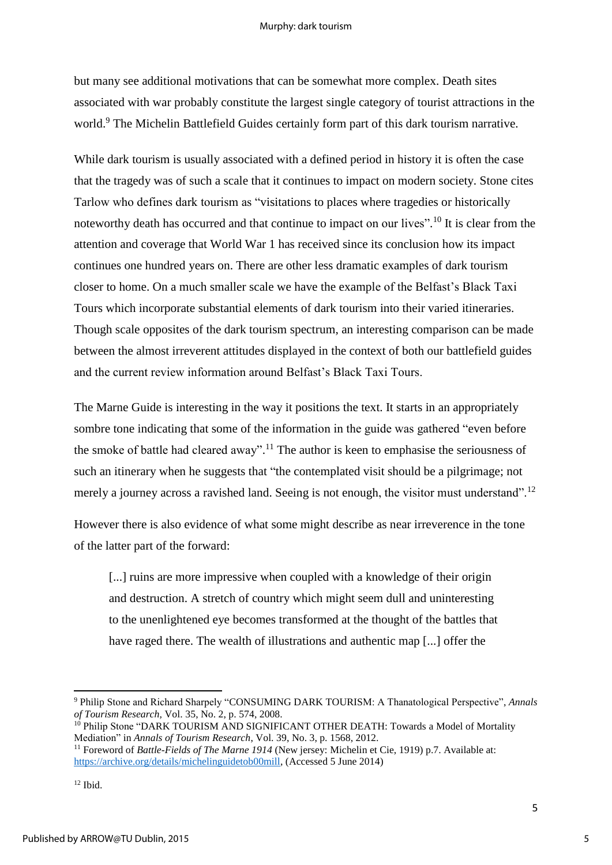#### Murphy: dark tourism

but many see additional motivations that can be somewhat more complex. Death sites associated with war probably constitute the largest single category of tourist attractions in the world.<sup>9</sup> The Michelin Battlefield Guides certainly form part of this dark tourism narrative.

While dark tourism is usually associated with a defined period in history it is often the case that the tragedy was of such a scale that it continues to impact on modern society. Stone cites Tarlow who defines dark tourism as "visitations to places where tragedies or historically noteworthy death has occurred and that continue to impact on our lives".<sup>10</sup> It is clear from the attention and coverage that World War 1 has received since its conclusion how its impact continues one hundred years on. There are other less dramatic examples of dark tourism closer to home. On a much smaller scale we have the example of the Belfast's Black Taxi Tours which incorporate substantial elements of dark tourism into their varied itineraries. Though scale opposites of the dark tourism spectrum, an interesting comparison can be made between the almost irreverent attitudes displayed in the context of both our battlefield guides and the current review information around Belfast's Black Taxi Tours.

The Marne Guide is interesting in the way it positions the text. It starts in an appropriately sombre tone indicating that some of the information in the guide was gathered "even before the smoke of battle had cleared away".<sup>11</sup> The author is keen to emphasise the seriousness of such an itinerary when he suggests that "the contemplated visit should be a pilgrimage; not merely a journey across a ravished land. Seeing is not enough, the visitor must understand".<sup>12</sup>

However there is also evidence of what some might describe as near irreverence in the tone of the latter part of the forward:

[...] ruins are more impressive when coupled with a knowledge of their origin and destruction. A stretch of country which might seem dull and uninteresting to the unenlightened eye becomes transformed at the thought of the battles that have raged there. The wealth of illustrations and authentic map [...] offer the

**.** 

<sup>9</sup> Philip Stone and Richard Sharpely "CONSUMING DARK TOURISM: A Thanatological Perspective", *Annals of Tourism Research,* Vol. 35, No. 2, p. 574, 2008.

<sup>&</sup>lt;sup>10</sup> Philip Stone "DARK TOURISM AND SIGNIFICANT OTHER DEATH: Towards a Model of Mortality Mediation" in *Annals of Tourism Research*, Vol. 39, No. 3, p. 1568, 2012.

<sup>11</sup> Foreword of *Battle-Fields of The Marne 1914* (New jersey: Michelin et Cie, 1919) p.7. Available at: [https://archive.org/details/michelinguidetob00mill,](https://archive.org/details/michelinguidetob00mill) (Accessed 5 June 2014)

 $12$  Ibid.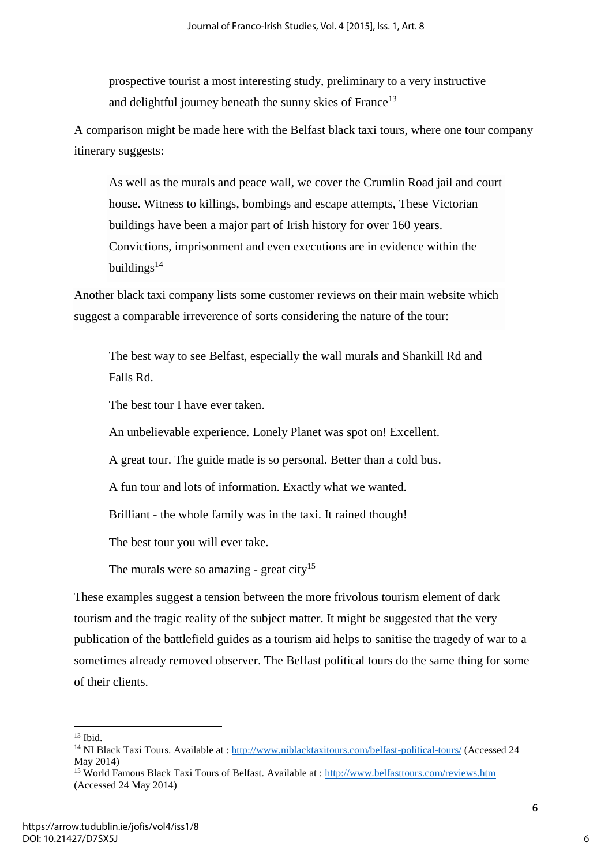prospective tourist a most interesting study, preliminary to a very instructive and delightful journey beneath the sunny skies of France<sup>13</sup>

A comparison might be made here with the Belfast black taxi tours, where one tour company itinerary suggests:

As well as the murals and peace wall, we cover the Crumlin Road jail and court house. Witness to killings, bombings and escape attempts, These Victorian buildings have been a major part of Irish history for over 160 years. Convictions, imprisonment and even executions are in evidence within the buildings $14$ 

Another black taxi company lists some customer reviews on their main website which suggest a comparable irreverence of sorts considering the nature of the tour:

The best way to see Belfast, especially the wall murals and Shankill Rd and Falls Rd.

The best tour I have ever taken.

An unbelievable experience. Lonely Planet was spot on! Excellent.

A great tour. The guide made is so personal. Better than a cold bus.

A fun tour and lots of information. Exactly what we wanted.

Brilliant - the whole family was in the taxi. It rained though!

The best tour you will ever take.

The murals were so amazing - great city<sup>15</sup>

These examples suggest a tension between the more frivolous tourism element of dark tourism and the tragic reality of the subject matter. It might be suggested that the very publication of the battlefield guides as a tourism aid helps to sanitise the tragedy of war to a sometimes already removed observer. The Belfast political tours do the same thing for some of their clients.

**<sup>.</sup>**  $13$  Ibid.

<sup>&</sup>lt;sup>14</sup> NI Black Taxi Tours. Available at :<http://www.niblacktaxitours.com/belfast-political-tours/>(Accessed 24 May 2014)

<sup>15</sup> World Famous Black Taxi Tours of Belfast. Available at :<http://www.belfasttours.com/reviews.htm> (Accessed 24 May 2014)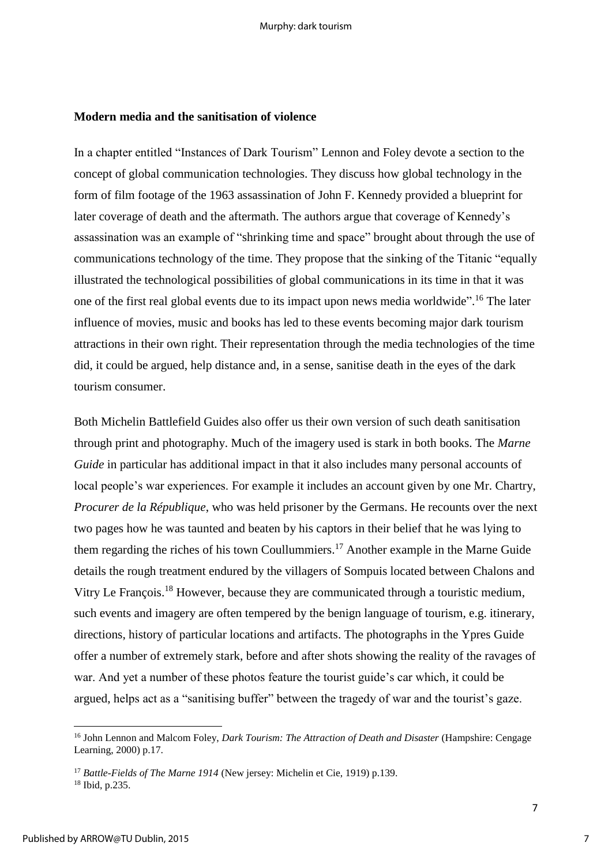#### **Modern media and the sanitisation of violence**

In a chapter entitled "Instances of Dark Tourism" Lennon and Foley devote a section to the concept of global communication technologies. They discuss how global technology in the form of film footage of the 1963 assassination of John F. Kennedy provided a blueprint for later coverage of death and the aftermath. The authors argue that coverage of Kennedy's assassination was an example of "shrinking time and space" brought about through the use of communications technology of the time. They propose that the sinking of the Titanic "equally illustrated the technological possibilities of global communications in its time in that it was one of the first real global events due to its impact upon news media worldwide". <sup>16</sup> The later influence of movies, music and books has led to these events becoming major dark tourism attractions in their own right. Their representation through the media technologies of the time did, it could be argued, help distance and, in a sense, sanitise death in the eyes of the dark tourism consumer.

Both Michelin Battlefield Guides also offer us their own version of such death sanitisation through print and photography. Much of the imagery used is stark in both books. The *Marne Guide* in particular has additional impact in that it also includes many personal accounts of local people's war experiences. For example it includes an account given by one Mr. Chartry, *Procurer de la République*, who was held prisoner by the Germans. He recounts over the next two pages how he was taunted and beaten by his captors in their belief that he was lying to them regarding the riches of his town Coullummiers.<sup>17</sup> Another example in the Marne Guide details the rough treatment endured by the villagers of Sompuis located between Chalons and Vitry Le François.<sup>18</sup> However, because they are communicated through a touristic medium, such events and imagery are often tempered by the benign language of tourism, e.g. itinerary, directions, history of particular locations and artifacts. The photographs in the Ypres Guide offer a number of extremely stark, before and after shots showing the reality of the ravages of war. And yet a number of these photos feature the tourist guide's car which, it could be argued, helps act as a "sanitising buffer" between the tragedy of war and the tourist's gaze.

**.** 

<sup>16</sup> John Lennon and Malcom Foley, *Dark Tourism: The Attraction of Death and Disaster* (Hampshire: Cengage Learning, 2000) p.17.

<sup>17</sup> *Battle-Fields of The Marne 1914* (New jersey: Michelin et Cie, 1919) p.139.

<sup>18</sup> Ibid, p.235.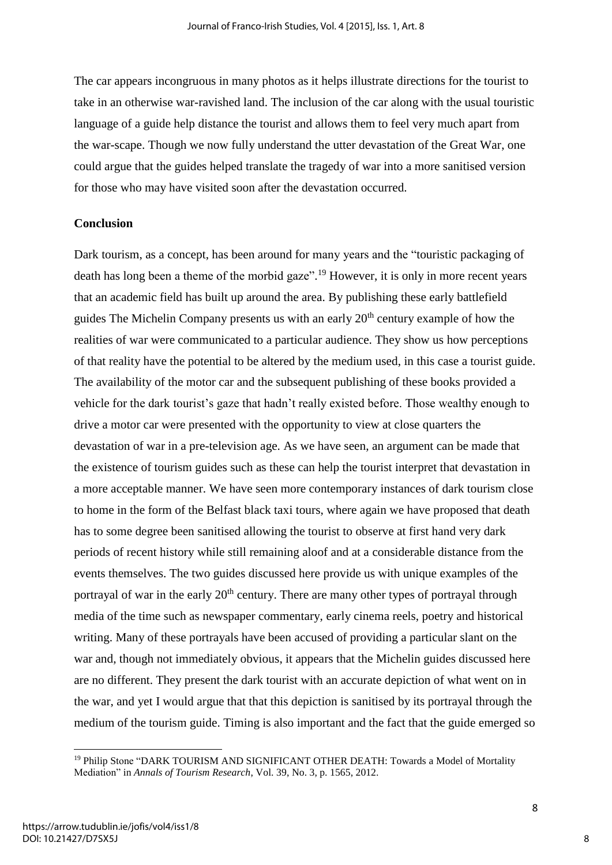The car appears incongruous in many photos as it helps illustrate directions for the tourist to take in an otherwise war-ravished land. The inclusion of the car along with the usual touristic language of a guide help distance the tourist and allows them to feel very much apart from the war-scape. Though we now fully understand the utter devastation of the Great War, one could argue that the guides helped translate the tragedy of war into a more sanitised version for those who may have visited soon after the devastation occurred.

### **Conclusion**

Dark tourism, as a concept, has been around for many years and the "touristic packaging of death has long been a theme of the morbid gaze".<sup>19</sup> However, it is only in more recent years that an academic field has built up around the area. By publishing these early battlefield guides The Michelin Company presents us with an early  $20<sup>th</sup>$  century example of how the realities of war were communicated to a particular audience. They show us how perceptions of that reality have the potential to be altered by the medium used, in this case a tourist guide. The availability of the motor car and the subsequent publishing of these books provided a vehicle for the dark tourist's gaze that hadn't really existed before. Those wealthy enough to drive a motor car were presented with the opportunity to view at close quarters the devastation of war in a pre-television age. As we have seen, an argument can be made that the existence of tourism guides such as these can help the tourist interpret that devastation in a more acceptable manner. We have seen more contemporary instances of dark tourism close to home in the form of the Belfast black taxi tours, where again we have proposed that death has to some degree been sanitised allowing the tourist to observe at first hand very dark periods of recent history while still remaining aloof and at a considerable distance from the events themselves. The two guides discussed here provide us with unique examples of the portrayal of war in the early  $20<sup>th</sup>$  century. There are many other types of portrayal through media of the time such as newspaper commentary, early cinema reels, poetry and historical writing. Many of these portrayals have been accused of providing a particular slant on the war and, though not immediately obvious, it appears that the Michelin guides discussed here are no different. They present the dark tourist with an accurate depiction of what went on in the war, and yet I would argue that that this depiction is sanitised by its portrayal through the medium of the tourism guide. Timing is also important and the fact that the guide emerged so

**.** 

<sup>&</sup>lt;sup>19</sup> Philip Stone "DARK TOURISM AND SIGNIFICANT OTHER DEATH: Towards a Model of Mortality Mediation" in *Annals of Tourism Research*, Vol. 39, No. 3, p. 1565, 2012.